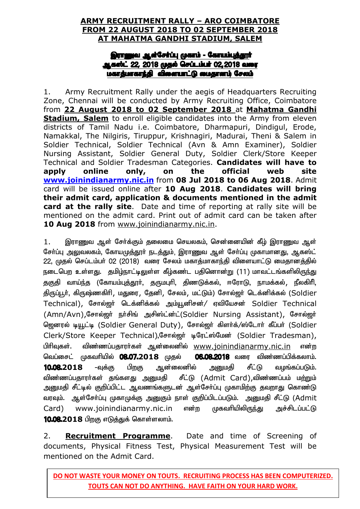#### **ARMY RECRUITMENT RALLY – ARO COIMBATORE FROM 22 AUGUST 2018 TO 02 SEPTEMBER 2018 AT MAHATMA GANDHI STADIUM, SALEM**

#### இராணுவ ஆள்சேர்ப்பு முகாம் - கோயம்புத்தூர் **.ஆகஸ்ட் 22, 2018 முதல் செப்டம்பர் 02,2018 வரை** <u>மகாத்மாகாந்தி</u> விளையாட்டு மைதானம் சேலம்

1. Army Recruitment Rally under the aegis of Headquarters Recruiting Zone, Chennai will be conducted by Army Recruiting Office, Coimbatore from **22 August 2018 to 02 September 2018** at **Mahatma Gandhi Stadium, Salem** to enroll eligible candidates into the Army from eleven districts of Tamil Nadu i.e. Coimbatore, Dharmapuri, Dindigul, Erode, Namakkal, The Nilgiris, Tiruppur, Krishnagiri, Madurai, Theni & Salem in Soldier Technical, Soldier Technical (Avn & Amn Examiner), Soldier Nursing Assistant, Soldier General Duty, Soldier Clerk/Store Keeper Technical and Soldier Tradesman Categories. **Candidates will have to apply online only, on the official web site www.joinindianarmy.nic.in** from **08 Jul 2018 to 06 Aug 2018**. Admit card will be issued online after **10 Aug 2018**. **Candidates will bring their admit card, application & documents mentioned in the admit card at the rally site**. Date and time of reporting at rally site will be mentioned on the admit card. Print out of admit card can be taken after 10 Aug 2018 from www.joinindianarmy.nic.in.

1. இராணுவ ஆள் சேர்க்கும் தலைமை செயலகம், சென்னையின் கீழ் இராணுவ ஆள் சேர்ப்பு <u>அலு</u>வலகம், கோயமுத்தூர் நடத்தும், இராணுவ ஆள் சேர்ப்பு முகாமானது, ஆகஸ்ட் 22, முதல் செப்டம்பர் 02 (2018) வரை சேலம் மகாத்மாகாந்தி விளையாட்டு மைதானத்தில் நடைபெற உள்ளது. தமிழ்நாட்டிலுள்ள கீழ்கண்ட பதினொன்று (11) மாவட்டங்களிலிருந்து தகுதி வாய்ந்த (கோயம்புத்தூா், தருமபுாி, திணடுக்கல், ஈரோடு, நாமக்கல், நீலகிாி, திருப்பூர், கிருஷ்ணகிரி, மதுரை, தேனி, சேலம், மட்டும்) சோல்ஜர் டெக்னிக்கல் (Soldier Technical), சோல்ஜர் டெக்னிக்கல் அம்யூனிசன்/ ஏவியேசன் Soldier Technical (Amn/Avn),சோல்ஜர் நர்சிங் அசிஸ்ட்ன்ட்(Soldier Nursing Assistant), சோல்ஜர் ஜெனரல் டியூட்டி (Soldier General Duty), சோல்ஜர் கிளர்க்/ஸ்டோர் கீப்பர் (Soldier Clerk/Store Keeper Technical),சோல்ஜர் டிரேட்ஸ்மேன் (Soldier Tradesman), பிரிவுகள். விண்ணப்பதாரர்கள் ஆன்லைனில் www.joinindianarmy.nic.in என்ற வெப்சைட் முகவரியில் **08.07.2018** முதல் **06.08.2018** வரை விண்ணப்பிக்கலாம். 10.08.2018 -வுக்கு பிறகு ஆன்லைனில் அனுமதி சீட்டு வழங்கப்படும். விண்ணப்பதாரர்கள் தங்களது அனுமதி சீட்டு (Admit Card),விண்ணப்பம் ம<u>ற்று</u>ம் அனுமதி சீட்டில் குறிப்பிட்ட ஆவணங்களுடன் ஆள்சோ்ப்பு முகாமிற்கு தவறாது கொண்டு வரவும். ஆள்சோ்ப்பு முகாமுக்கு அனுகும் நாள் குறிப்பிடப்படும். அனுமதி சீட்டு (Admit Card) www.joinindianarmy.nic.in என்ற முகவரியிலிருந்து அச்சிடப்பட்டு 10.08.2018 பிறகு எடுத்துக் கொள்ளலாம்.

2. **Recruitment Programme**. Date and time of Screening of documents, Physical Fitness Test, Physical Measurement Test will be mentioned on the Admit Card.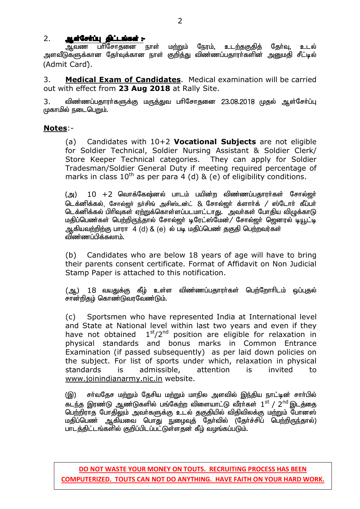#### 2. SuatGettuu Sulumissi :-

ஆவண பரிசோதனை நாள் ம<u>ற்று</u>ம் நேரம், உடற்தகுதித் தேர்வு, உடல் அளவீடுகளுக்கான தோ்வுக்கான நாள் குறித்து விண்ணப்பதாரா்களின் அனுமதி சீட்டில் (Admit Card);.

3. **Medical Exam of Candidates**. Medical examination will be carried out with effect from **23 Aug 2018** at Rally Site.

3. விண்ணப்பதாரர்களுக்கு மருத்துவ பரிசோதனை 23.08.2018 முதல் ஆள்சேர்ப்பு முகாமில் நடைபெறும்.

#### **Notes**:-

(a) Candidates with 10+2 **Vocational Subjects** are not eligible for Soldier Technical, Soldier Nursing Assistant & Soldier Clerk/ Store Keeper Technical categories. They can apply for Soldier Tradesman/Soldier General Duty if meeting required percentage of marks in class  $10^{th}$  as per para 4 (d) & (e) of eligibility conditions.

 $(g)$ )  $10 + 2$  வொக்கேஷ்னல் பாடம் பயின்ற விண்ணப்பதாரர்கள் சோல்ஜர் டெக்னிக்கல், சோல்ஜர் நர்சிங் அசிஸ்டன்ட் & சோல்ஜர் க்ளார்க் / ஸ்டோர் கீப்பர் டெக்னிக்கல் பிரிவுகள் ஏற்றுக்கொள்ளப்படமாட்டாது. அவர்கள் போதிய விழுக்காடு மதிப்பெண்கள் பெற்றிருந்தால் சோல்ஜா் டிரேட்ஸ்மேன்/ சோல்ஜா் ஜெனரல் டியூட்டி ஆகியவற்றிற்கு பாரா 4 (d) & (e) ல் படி மகிப்பெண் ககுகி பெற்றவர்கள் விண்ணப்பிக்கலாம்.

(b) Candidates who are below 18 years of age will have to bring their parents consent certificate. Format of Affidavit on Non Judicial Stamp Paper is attached to this notification.

(ஆ) 18 வயதுக்கு கீழ் உள்ள விண்ணப்பதாரர்கள் பெற்றோரிடம் ஒப்புதல் சான்றிதழ் கொண்டுவரவேண்டும்.

(c) Sportsmen who have represented India at International level and State at National level within last two years and even if they have not obtained  $1<sup>st</sup>/2<sup>nd</sup>$  position are eligible for relaxation in physical standards and bonus marks in Common Entrance Examination (if passed subsequently) as per laid down policies on the subject. For list of sports under which, relaxation in physical standards is admissible, attention is invited to www.joinindianarmy.nic.in website.

(இ) சா்வதேச மற்றும் தேசிய மற்றும் மாநில அளவில் இந்திய நாட்டின் சாா்பில் கடந்த இரண்டு ஆண்டுகளில் பங்கேற்ற விளையாட்டு வீரா்கள்  $1^{\rm st}$  / 2 $^{\rm nd}$ இடத்தை <u>பெற்</u>றிராத போதிலும் அவா்களுக்கு உடல் தகுதியில் விதிவிலக்கு மற்றும் போனஸ் மதிப்பெண் ஆகியவை பொது நுழைவுத் தேர்வில் (தேர்ச்சிப் பெற்றிருந்தால்) பாடத்திட்டங்களில் குறிப்பிடப்பட்டுள்ளதன் கீம் வமங்கப்படும்.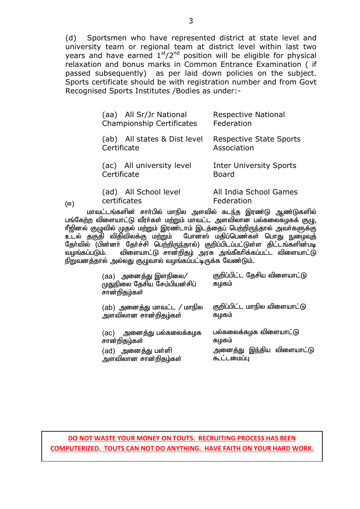(d) Sportsmen who have represented district at state level and university team or regional team at district level within last two years and have earned  $1<sup>st</sup>/2<sup>nd</sup>$  position will be eligible for physical relaxation and bonus marks in Common Entrance Examination ( if passed subsequently) as per laid down policies on the subject. Sports certificate should be with registration number and from Govt Recognised Sports Institutes /Bodies as under:-

| (aa) All Sr/Jr National<br><b>Championship Certificates</b> | <b>Respective National</b><br>Federation       |
|-------------------------------------------------------------|------------------------------------------------|
| (ab) All states & Dist level<br>Certificate                 | <b>Respective State Sports</b><br>Association  |
| (ac) All university level<br>Certificate                    | <b>Inter University Sports</b><br><b>Board</b> |
| (ad) All School level<br>certificates                       | All India School Games<br>Federation           |

(ஈ)

மாவட்டங்களின் சாா்பில் மாநில அளவில் கடந்த இரண்டு ஆண்டுகளில் பங்கேற்ற விளையாட்டு வீரர்கள் மற்றும் மாவட்ட அளவிலான பல்கலைகமகக் குழு. ரீஜினல் குழுவில் முதல் மற்றும் இரண்டாம் இடத்தைப் பெற்றிருந்தால் அவர்களுக்கு<br>உடல் தகுதி விதிவிலக்கு மற்றும் போனஸ் மதிப்பெண்கள் பொது நுழைவுத் போனஸ் மதிப்பெண்கள் பொது நுழைவுத் தோ்வில் (பின்னா் தோ்ச்சி பெற்றிருந்தால்) குறிப்பிடப்பட்டுள்ள திட்டங்களின்படி<br>வமங்கப்படும். விளையாட்டு சான்றிகம் அாசு அங்கீகாிக்கப்பட்ட விளையாட்டு விளையாட்டு சான்றிதம் அரசு அங்கீகரிக்கப்பட்ட விளையாட்டு நிறுவனத்தால் அல்லது குழுவால் வழங்கப்பட்டிருக்க வேண்டும்.

| (aa) அனைத்து இளநிலை/<br>முதுநிலை தேசிய சேம்பியன்சிப்<br>சான்றிதழ்கள் | குறிப்பிட்ட தேசிய விளையாட்டு<br>கழகம் |
|----------------------------------------------------------------------|---------------------------------------|
| (ab)  அனைத்து மாவட்ட / மாநில                                         | குறிப்பிட்ட மாநில விளையாட்டு          |
| அளவிலான சான்றிதழ்கள்                                                 | கழகம்                                 |
| (ac) அனைத்து பல்கலைக்கழக                                             | பல்கலைக்கழக விளையாட்டு                |
| சான்றிதழ்கள்                                                         | கழகம்                                 |
| (ad) அனைத்து பள்ளி                                                   | அனைத்து இந்திய விளையாட்டு             |
| அளவிலான சான்றிதழ்கள்                                                 | கூட்டமைப்பு                           |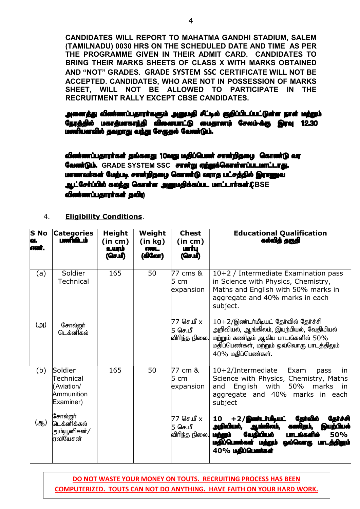**CANDIDATES WILL REPORT TO MAHATMA GANDHI STADIUM, SALEM (TAMILNADU) 0030 HRS ON THE SCHEDULED DATE AND TIME AS PER THE PROGRAMME GIVEN IN THEIR ADMIT CARD. CANDIDATES TO BRING THEIR MARKS SHEETS OF CLASS X WITH MARKS OBTAINED AND "NOT" GRADES. GRADE SYSTEM SSC CERTIFICATE WILL NOT BE ACCEPTED. CANDIDATES, WHO ARE NOT IN POSSESSION OF MARKS SHEET, WILL NOT BE ALLOWED TO PARTICIPATE IN THE RECRUITMENT RALLY EXCEPT CBSE CANDIDATES.** 

அனைத்து விண்ணப்பதாரா்களும் அனுமதி சீட்டில் குறிப்பிடப்பட்டுள்ள நாள் மற்றும் நேரத்தில் மகாத்மாகாந்தி விளையாட்டு மைதானம் சேலம்-க்கு இரவு 12.30 மணியளவில் தவறாது வந்து சேருதல் வேண்டும்.

விண்ணப்பதாரா்கள் தங்களது 10வது மதிப்பெண் சான்றிதழை கொண்டு வர **வேண்டும். GRADE SYSTEM SSC** சான்று ஏற்றுக்**கொள்ளப்படமாட்டாது.** மாணவர்கள் மேற்படி சான்றிதழை கொண்டு வராத பட்சத்தில் இராணுவ **ஆட்சேர்ப்பில் கலந்து கொள்ள அனுமதிக்கப்பட மாட்டார்கள்.CBSE விண்ணப்பதாரா்கள் தவி**ற

#### 4. **Eligibility Conditions**.

| S No<br>QI. | <b>Categories</b><br>பளிபிடம்                                 | <b>Height</b><br>(in cm)<br>உபரம்<br>(செமி | Weight<br>(in kg)<br><b>GOOL</b><br>(கிலோ) | <b>Chest</b><br>(in cm)<br><b>Leiming</b><br>(செபி) | <b>Educational Qualification</b><br>கல்வித் தகுதி                                                                                                                                                                        |  |
|-------------|---------------------------------------------------------------|--------------------------------------------|--------------------------------------------|-----------------------------------------------------|--------------------------------------------------------------------------------------------------------------------------------------------------------------------------------------------------------------------------|--|
| (a)         | Soldier<br><b>Technical</b>                                   | 165                                        | 50                                         | 77 cms &<br>l5 cm<br>expansion                      | 10+2 / Intermediate Examination pass<br>in Science with Physics, Chemistry,<br>Maths and English with 50% marks in<br>aggregate and 40% marks in each<br>subject.                                                        |  |
| (அ)         | சோல்ஜர்<br>டெக்னிகல்                                          |                                            |                                            | 77 செ.மீ x<br>5 செ.மீ<br>விரிந்த நிலை.              | $10+2$ /இண்டர்மீடியட் தேர்வில் தேர்ச்சி<br>அறிவியல், ஆங்கிலம், இயற்பியல், வேதியியல்<br>மற்றும் கணிதம் ஆகிய பாடங்களில் 50%<br>மதிப்பெண்கள், மற்றும் ஒவ்வொரு பாடத்திலும்<br>$40\%$ மதிப்பெண்கள்.                           |  |
| (b)         | Soldier<br>Technical<br>(Aviation/<br>Ammunition<br>Examiner) | 165                                        | 50                                         | 77 cm &<br>l5 cm<br>expansion                       | 10+2/Intermediate<br>Exam<br>in<br>pass<br>Science with Physics, Chemistry, Maths<br>English<br>with<br>50%<br>marks<br>and<br>in<br>aggregate and 40% marks in each<br>subject                                          |  |
| (ஆ)         | சோல்ஜா்<br>டெக்னிக்கல்<br>அம்யூனிசன் <i>/</i><br>ஏவியேசன்     |                                            |                                            | 77 செ.மீ x<br>5 செ.மீ<br>விரிந்த நிலை.              | தேர்வில்<br>$+2/$ இனா்டா்மீடியட்<br>10<br>Gaita<br>் வாங்கிலம்,<br>அறிவியல்.<br>இயற்பியல்<br>மற்றும்<br>வேதியியல்<br>50%<br><b>UMLI</b><br><b>ஒவ்வொரு</b><br>மதிப்பெண்கள் மற்றும்<br>் மிழும்.<br>40% <b>ugliQuarisa</b> |  |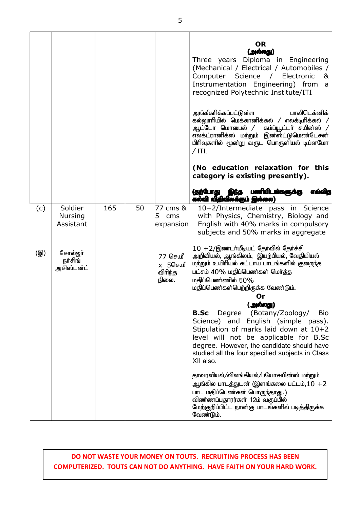|     |                                        |     |    |                                          | <b>OR</b><br>(அல்லது)<br>Three years Diploma in Engineering<br>(Mechanical / Electrical / Automobiles /<br>Science / Electronic<br>Computer<br>&<br>Instrumentation Engineering) from<br>a<br>recognized Polytechnic Institute/ITI<br>அங்கீகரிக்கப்பட்டுள்ள<br>பாலிடெக்னிக்<br>கல்லுாரியில் மெக்கானிக்கல் / எலக்டிரிக்கல் /<br>ஆட்டோ மொபைல் /<br>கம்ப்யூட்டா் சயின்ஸ் /<br>எலக்ட்ரானிக்ஸ் மற்றும் இன்ஸ்ட்டுமெண்டேசன்<br>பிரிவுகளில் மூன்று வருட பொருளியல் டிப்ளமோ<br>$/$ ITI.                                                                                                                   |
|-----|----------------------------------------|-----|----|------------------------------------------|-------------------------------------------------------------------------------------------------------------------------------------------------------------------------------------------------------------------------------------------------------------------------------------------------------------------------------------------------------------------------------------------------------------------------------------------------------------------------------------------------------------------------------------------------------------------------------------------------|
|     |                                        |     |    |                                          | (No education relaxation for this<br>category is existing presently).<br>(தற்போது<br>பணியிடங்களுக்கு<br>எவ்வித                                                                                                                                                                                                                                                                                                                                                                                                                                                                                  |
|     |                                        |     |    |                                          | கல்வி விதிவிலக்கும் இல்லை)                                                                                                                                                                                                                                                                                                                                                                                                                                                                                                                                                                      |
| (c) | Soldier<br><b>Nursing</b><br>Assistant | 165 | 50 | 77 cms &<br>5<br>cms<br>expansion        | 10+2/Intermediate pass in Science<br>with Physics, Chemistry, Biology and<br>English with 40% marks in compulsory<br>subjects and 50% marks in aggregate                                                                                                                                                                                                                                                                                                                                                                                                                                        |
| (இ) | சோல்ஜர்<br>நர்சிங்<br>அசிஸ்டன்ட்       |     |    | 77 செ.மீ<br>X 200+ n<br>விரிந்த<br>நிலை. | $10 + 2$ /இண்டர்மீடியட் தேர்வில் தேர்ச்சி<br>அறிவியல், ஆங்கிலம்,  இயற்பியல், வேதியியல்<br>மற்றும் உயிரியல் கட்டாய பாடங்களில் குறைந்த<br>பட்சம் 40% மதிப்பெண்கள் மெர்த்த<br>மதிப்பெண்ணில் 50%<br>மதிப்பெண்கள்பெற்றிருக்க வேண்டும்.<br>Or<br>(அல்லது)<br>Degree (Botany/Zoology/<br><b>Bio</b><br><b>B.Sc</b><br>Science) and English (simple pass).<br>Stipulation of marks laid down at 10+2<br>level will not be applicable for B.Sc<br>degree. However, the candidate should have<br>studied all the four specified subjects in Class<br>XII also.<br>தாவரவியல்/விலங்கியல்/பயோசயின்ஸ் மற்றும் |
|     |                                        |     |    |                                          | ஆங்கில பாடத்துடன் (இளங்கலை பட்டம்,10 +2<br>பாட மதிப்பெண்கள் பொருந்தாது.)<br>விண்ணப்பதாரர்கள் 12ம் வகுப்பில்<br>மேற்குறிப்பிட்ட நான்கு பாடங்களில் படித்திருக்க<br>வேண்டும்.                                                                                                                                                                                                                                                                                                                                                                                                                      |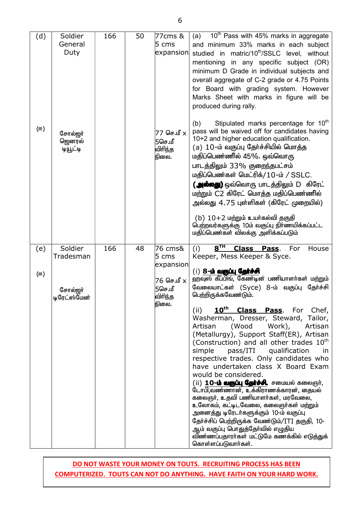(d)  $(F)$ Soldier General Duty சோல்ஜர் ஜெனரல் டியூட்டி 166 50 77cms & 5 cms expansion  $77$  செ.மீ  $x$  $5$ செ.மீ விரிந்த நிலை. (a)  $10^{th}$  Pass with 45% marks in aggregate and minimum 33% marks in each subject studied in matric/10<sup>th</sup>/SSLC level, without mentioning in any specific subject (OR) minimum D Grade in individual subjects and overall aggregate of C-2 grade or 4.75 Points for Board with grading system. However Marks Sheet with marks in figure will be produced during rally. (b) Stipulated marks percentage for  $10<sup>th</sup>$ pass will be waived off for candidates having 10+2 and higher education qualification.  $(a)$   $10$ -ம் வகுப்பு தேர்ச்சியில் மொத்த மதிப்பெண்ணில் 45%. ஒவ்வொரு பாடத்திலும் 33% குறைந்தபட்சம்  $\mu$ திப்பெண்கள் மெட்ரிக்/ $10$ -ம் / SSLC. **( அல்லது)** ஒவ்வொரு பாடத்திலும் D கிரேட் மற்றும் C2 கிரேட் மொத்த மதிப்பெண்ணில் அல்லது 4.75 புள்ளிகள் (கிரேட் முறையில்)  $(b)$   $10+2$  மற்றும் உயர்கல்வி தகுதி பெற்றவர்களுக்கு 10ம் வகுப்பு நிர்ணயிக்கப்பட்ட மதிப்பெண்கள் விலக்கு அளிக்கப்படும் (e)  $(F)$ Soldier Tradesman  $G$ சால்றா் டிரேட்ஸ்மேன் 166 48 76 cms& 5 cms expansion 76 செ.மீ x 5செ.மீ விரிந்த நிலை.  $(i)$  8<sup>TH</sup> **Class Pass.** For House Keeper, Mess Keeper & Syce. (i) 8- $\dot{\mathbf{h}}$  alguly agits-of ஹ்வுஸ் கீப்பிங், கேண்டின் பணியாளர்கள் மற்றும் வேலையாட்கள் (Syce) 8-ம் வகுப்பு தேர்ச்சி பெற்றிருக்கவேண்டும். (ii) **10th Class Pass**. For Chef, Washerman, Dresser, Steward, Tailor, Artisan (Wood Work), Artisan (Metallurgy), Support Staff(ER), Artisan (Construction) and all other trades  $10<sup>th</sup>$ simple pass/ITI qualification in respective trades. Only candidates who have undertaken class X Board Exam would be considered. (ii) 10**-ம் வகுப்பு தேர்ச்சி.** சமையல் கலைஞர்,  $\ell$ டாபி,வண்ணான், உக்கிராணக்காரன், கையல் கலைஞர், உதவி பணியாளர்கள், மரவேலை, உலோகம், கட்டிடவேலை, கலைஞர்கள் மற்றும் அனைத்து டிரேடர்களுக்கும் 10-ம் வகுப்பு தேர்ச்சிப் பெற்றிருக்க வேண்டும்/ITI தகுதி, 10-.<br>ஆம் வகுப்பு பொதுக்கோ்வில் எழுகிய விண்ணப்பதாரர்கள் மட்டுமே கணக்கில் எடுத்துக் கொள்ளப்படுவார்கள்.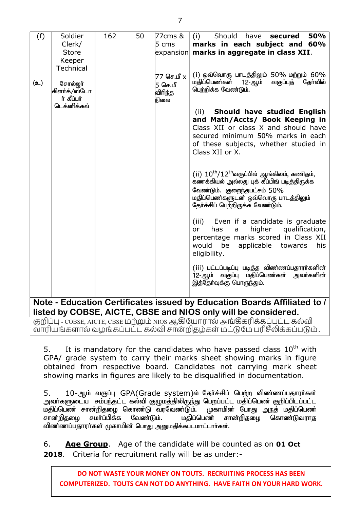| (f)          | Soldier                   | 162 | 50 | 77cms &          | Should<br>have<br><b>50%</b><br>(i)<br>secured                    |  |
|--------------|---------------------------|-----|----|------------------|-------------------------------------------------------------------|--|
|              | Clerk/                    |     |    | $5 \text{ cm}$ s | marks in each subject and 60%                                     |  |
|              | <b>Store</b>              |     |    |                  | $\epsilon$ expansion marks in aggregate in class XII.             |  |
|              | Keeper                    |     |    |                  |                                                                   |  |
|              | <b>Technical</b>          |     |    |                  |                                                                   |  |
|              |                           |     |    | 77 செ.மீ x       | (i) ஒவ்வொரு பாடத்திலும் 50% மற்றும் 60%                           |  |
| (உ)          | சோல்ஜா்                   |     |    | 5 செ.மீ          | மதிப்பெண்கள்<br>தேர்வில்<br>12-ஆம்<br>வகுப்புத்                   |  |
|              | கிளர்க்/ஸ்டோ              |     |    | விரிந்த          | பெற்றிக்க வேண்டும்.                                               |  |
|              | ர் கீப்பர்<br>டெக்னிக்கல் |     |    | நிலை             |                                                                   |  |
|              |                           |     |    |                  | Should have studied English<br>(ii)                               |  |
|              |                           |     |    |                  | and Math/Accts/ Book Keeping in                                   |  |
|              |                           |     |    |                  | Class XII or class X and should have                              |  |
|              |                           |     |    |                  | secured minimum 50% marks in each                                 |  |
|              |                           |     |    |                  | of these subjects, whether studied in                             |  |
|              |                           |     |    |                  | Class XII or X.                                                   |  |
|              |                           |     |    |                  |                                                                   |  |
|              |                           |     |    |                  | $(ii)$ $10th/12th$ வகுப்பில் ஆங்கிலம், கணிதம்,                    |  |
|              |                           |     |    |                  | கணக்கியல் அல்லது புக் கீப்பிங் படித்திருக்க                       |  |
|              |                           |     |    |                  | வேண்டும். குறைந்தபட்சம் 50%                                       |  |
|              |                           |     |    |                  | மதிப்பெண்களுடன் ஒவ்வொரு பாடத்திலும்                               |  |
|              |                           |     |    |                  | தேர்ச்சிப் பெற்றிருக்க வேண்டும்.                                  |  |
|              |                           |     |    |                  |                                                                   |  |
|              |                           |     |    |                  | (iii) Even if a candidate is graduate                             |  |
|              |                           |     |    |                  | higher<br>qualification,<br>has<br>or -<br>a                      |  |
|              |                           |     |    |                  | percentage marks scored in Class XII                              |  |
|              |                           |     |    |                  | be<br>would<br>applicable<br>towards<br>his                       |  |
|              |                           |     |    |                  | eligibility.                                                      |  |
|              |                           |     |    |                  | (iii) பட்டப்படிப்பு படித்த விண்ணப்பதாரா்களின்                     |  |
|              |                           |     |    |                  | 12-ஆம் வகுப்பு மதிப்பெண்கள் அவர்களின்                             |  |
|              |                           |     |    |                  | இத்தேர்வுக்கு பொருந்தும்.                                         |  |
|              |                           |     |    |                  |                                                                   |  |
| $N_{\alpha}$ |                           |     |    |                  | Education Contificates issued by Education Peards Affiliated to I |  |

**Note - Education Certificates issued by Education Boards Affiliated to / listed by COBSE, AICTE, CBSE and NIOS only will be considered.** 

குறிப்பு - COBSE, AICTE, CBSE மற்றும் NIOS ஆகியோரால் அங்கீகரிக்கப்பட்ட கல்வி வாரியங்களால் வழங்கப்பட்ட கல்வி சான்றிதழ்கள் மட்டுமே பரிசீலிக்கப்படும் .

5. It is mandatory for the candidates who have passed class  $10^{th}$  with GPA/ grade system to carry their marks sheet showing marks in figure obtained from respective board. Candidates not carrying mark sheet showing marks in figures are likely to be disqualified in documentation.

5. 10-ஆம் வகுப்பு GPA(Grade system)ல் தேர்ச்சிப் பெற்ற விண்ணப்பதாரர்கள் அவா்களுடைய சம்பந்தட்ட கல்வி குழுமத்திலிருந்து பெறப்பட்ட மதிப்பெண் குறிப்பிடப்பட்ட மதிப்பெண் சான்றிதழை கொண்டு வரவேண்டும். முகாமின் போது அநத் மதிப்பெண்<br>சான்றிகமை சமா்ப்பிக்க வேண்டும். மகிப்பெண் சான்றிகமை கொண்டுவராக சான்றிதழை சமா்ப்பிக்க வேண்டும். மதிப்பெண் சான்றிதழை கொண்டுவராத விண்ணப்பதாரர்கள் முகாமின் பொது அனுமதிக்கபடமாட்டார்கள்.

6. **Age Group**. Age of the candidate will be counted as on **01 Oct 2018**. Criteria for recruitment rally will be as under:-

**DO NOT WASTE YOUR MONEY ON TOUTS. RECRUITING PROCESS HAS BEEN COMPUTERIZED. TOUTS CAN NOT DO ANYTHING. HAVE FAITH ON YOUR HARD WORK.**

7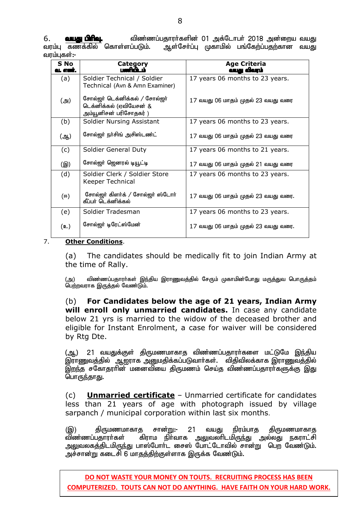6. taJ gphpT. tpz;zg;gjhuh;fspd; 01 mf;Nlhgh; 2018 md;iwa taJ ஆள்சோ்ப்பு முகாமில் பங்கேற்ப்பதற்கான வயது வாம்பகள்:-

| S No<br>வ. எண்.                   | <b>Category</b>                                                                    | <b>Age Criteria</b><br>வபது விவரம்  |
|-----------------------------------|------------------------------------------------------------------------------------|-------------------------------------|
| (a)                               | Soldier Technical / Soldier<br>Technical (Avn & Amn Examiner)                      | 17 years 06 months to 23 years.     |
| (அ)                               | சோல்ஜர் டெக்னிக்கல் / சோல்ஜர்<br>டெக்னிக்கல் (ஏவியேசன் &<br>அம்யூனிசன் பரிசோதகர் ) | 17 வயது 06 மாதம் முதல் 23 வயது வரை  |
| (b)                               | Soldier Nursing Assistant                                                          | 17 years 06 months to 23 years.     |
| சோல்ஜர் நர்சிங் அசிஸ்டண்ட்<br>(ஆ) |                                                                                    | 17 வயது 06 மாதம் முதல் 23 வயது வரை  |
| (c)                               | Soldier General Duty                                                               | 17 years 06 months to 21 years.     |
| (இ)                               | சோல்ஜர் ஜெனரல் டியூட்டி                                                            | 17 வயது 06 மாதம் முதல் 21 வயது வரை  |
| (d)                               | Soldier Clerk / Soldier Store<br>Keeper Technical                                  | 17 years 06 months to 23 years.     |
| (ஈ)                               | சோல்ஜர் கிளர்க் / சோல்ஜர் ஸ்டோர்<br>கீப்பர் டெக்னிக்கல்                            | 17 வயது 06 மாதம் முதல் 23 வயது வரை. |
| (e)                               | Soldier Tradesman                                                                  | 17 years 06 months to 23 years.     |
| (உ)                               | சோல்ஜர் டிரேட்ஸ்மேன்                                                               | 17 வயது 06 மாதம் முதல் 23 வயது வரை. |

#### 7. **Other Conditions**.

(a) The candidates should be medically fit to join Indian Army at the time of Rally.

(அ) விண்ணப்பதாரா்கள் இந்திய இராணுவத்தில் சேரும் முகாமின்போது மருத்துவ பொருத்தம் பெற்றவராக இருத்தல் வேண்டும்.

(b) **For Candidates below the age of 21 years, Indian Army will enroll only unmarried candidates.** In case any candidate below 21 yrs is married to the widow of the deceased brother and eligible for Instant Enrolment, a case for waiver will be considered by Rtg Dte.

(ஆ) 21 வயதுக்குள் திருமணமாகாத விண்ணப்பதாரா்களை மட்டுமே இந்திய இராணுவத்தில் ஆ<u>ஜ</u>ராக அனுமதிக்கப்படுவார்கள். விதிவிலக்காக இராணுவத்தில் <u>இறந்</u>த சகோதரரின் மனைவியை திருமணம் செய்த விண்ணப்பதாராகளுக்கு <u>இது</u> பொருந்தாது.

(c) **Unmarried certificate** – Unmarried certificate for candidates less than 21 years of age with photograph issued by village sarpanch / municipal corporation within last six months.

(இ) திருமணமாகாத சான்று:- 21 வயது நிரம்பாத திருமணமாகாத<br>விண்ணப்பகாரா்கள் கிராம நிா்வாக அலுவலாிடமிருந்து அல்லது நகராட்சி கிராம நிா்வாக அலுவலாிடமிருந்து அல்லது நகராட்சி அலுவலகத்திடமிருந்து பாஸ்போா்ட சைஸ் போட்டோவில் சான்று பெற வேண்டும். அச்சான்று கடைசி 6 மாதத்திற்குள்ளாக இருக்க வேண்டும்.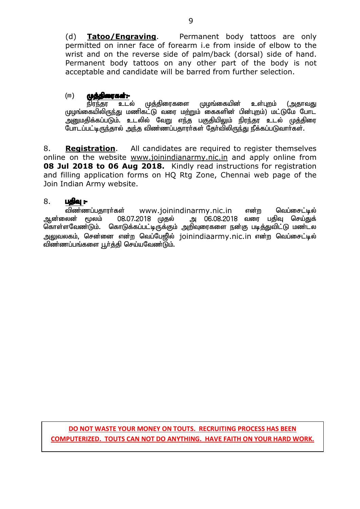(d) **Tatoo/Engraving**. Permanent body tattoos are only permitted on inner face of forearm i.e from inside of elbow to the wrist and on the reverse side of palm/back (dorsal) side of hand. Permanent body tattoos on any other part of the body is not acceptable and candidate will be barred from further selection.

# (ஈ) **முத்திரைகள்:-**<br>நிரந்தர உடல்

நிரந்தர உடல் முத்திரைகளை முழங்கையின் உள்புறம் (அதாவது முழங்கையிலிருந்து மணிகட்டு வரை மற்றும் கைகளின் பின்புறம்) மட்டுமே போட அனுமதிக்கப்படும். உடலில் வேறு எந்த பகுதியிலும் நிரந்தர உடல் முத்திரை போடப்பட்டிருந்தால் அந்த விண்ணப்பதாரர்கள் தேர்விலிருந்து நீக்கப்படுவார்கள்.

8. **Registration**. All candidates are required to register themselves online on the website www.joinindianarmy.nic.in and apply online from **08 Jul 2018 to 06 Aug 2018.** Kindly read instructions for registration and filling application forms on HQ Rtg Zone, Chennai web page of the Join Indian Army website.

#### 8. **ugja:-**

்விண்ணப்பதாரர்கள் www.joinindinarmy.nic.in என்ற வெப்சைட்டில்<br>அன்லைன் மூலம் 08.07.2018 முதல் அ 06.08.2018 வரை பதிவு செய்துக் 08.07.2018 முதல் கொள்ளவேண்டும். கொடுக்கப்பட்டிருக்கும் அறிவுரைகளை நன்கு படித்துவிட்டு மண்டல அலுவலகம், சென்னை என்ற வெப்பேஜில் joinindiaarmy.nic.in என்ற வெப்சைட்டில் விண்ணப்பங்களை பூர்த்தி செய்யவேண்டும்.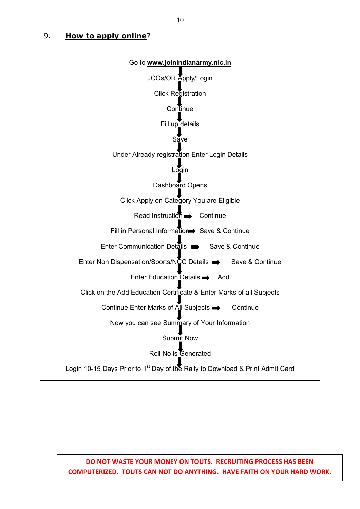#### 9. **How to apply online**?

| Go to www.joinindianarmy.nic.in                                                           |  |  |  |  |
|-------------------------------------------------------------------------------------------|--|--|--|--|
| JCOs/OR Apply/Login                                                                       |  |  |  |  |
| <b>Click Registration</b>                                                                 |  |  |  |  |
| Continue                                                                                  |  |  |  |  |
| Fill up details                                                                           |  |  |  |  |
| Sáve                                                                                      |  |  |  |  |
| Under Already registration Enter Login Details                                            |  |  |  |  |
| Login                                                                                     |  |  |  |  |
| Dashboard Opens                                                                           |  |  |  |  |
| Click Apply on Category You are Eligible                                                  |  |  |  |  |
| Read Instruction <b>B</b> Continue                                                        |  |  |  |  |
| Fill in Personal Information Save & Continue                                              |  |  |  |  |
| Enter Communication Details $\implies$ Save & Continue                                    |  |  |  |  |
| Enter Non Dispensation/Sports/NCC Details → Save & Continue                               |  |  |  |  |
| Enter Education Details $\rightarrow$ Add                                                 |  |  |  |  |
| Click on the Add Education Certificate & Enter Marks of all Subjects                      |  |  |  |  |
| Continue Enter Marks of All Subjects →<br>Continue                                        |  |  |  |  |
| Now you can see Summary of Your Information                                               |  |  |  |  |
| Submit Now                                                                                |  |  |  |  |
| Roll No is Generated                                                                      |  |  |  |  |
| Login 10-15 Days Prior to 1 <sup>st</sup> Day of the Rally to Download & Print Admit Card |  |  |  |  |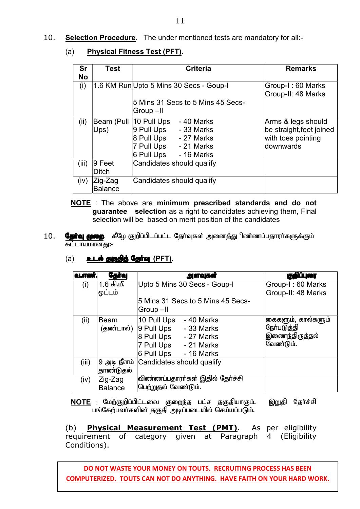(a) **Physical Fitness Test (PFT)**.

| <b>Sr</b> | <b>Test</b>               | <b>Criteria</b>                                                                                                                       | <b>Remarks</b>                                                                    |
|-----------|---------------------------|---------------------------------------------------------------------------------------------------------------------------------------|-----------------------------------------------------------------------------------|
| <b>No</b> |                           |                                                                                                                                       |                                                                                   |
| (i)       |                           | 1.6 KM Run Upto 5 Mins 30 Secs - Goup-I                                                                                               | Group-I: 60 Marks<br>Group-II: 48 Marks                                           |
|           |                           | 5 Mins 31 Secs to 5 Mins 45 Secs-<br>Group-II                                                                                         |                                                                                   |
| (ii)      | Beam (Pull<br>Ups)        | 10 Pull Ups<br>-40 Marks<br>9 Pull Ups<br>- 33 Marks<br>8 Pull Ups<br>- 27 Marks<br>7 Pull Ups - 21 Marks<br>6 Pull Ups<br>- 16 Marks | Arms & legs should<br>be straight, feet joined<br>with toes pointing<br>downwards |
| (iii)     | ∣9 Feet<br><b>Ditch</b>   | Candidates should qualify                                                                                                             |                                                                                   |
| (iv)      | Zig-Zag<br><b>Balance</b> | Candidates should qualify                                                                                                             |                                                                                   |

- **NOTE** : The above are **minimum prescribed standards and do not guarantee selection** as a right to candidates achieving them, Final selection will be based on merit position of the candidates
- 10. **தேர்வு முறை** கீழே குறிப்பிடப்பட்ட தேர்வுகள் அனைத்து ிண்ணப்பதாரர்களுக்கும் கட்டாயமானது**:**-

#### (a) **ald ggggg Ggina (PFT)**.

| <b>QLATER</b> | <b>Ggirej</b>             | அளவுகள்                                                                                                                                | குறிப்புரை                                                               |
|---------------|---------------------------|----------------------------------------------------------------------------------------------------------------------------------------|--------------------------------------------------------------------------|
| (i)           | 1.6 கி.மீ.<br>டுட்டம்     | Upto 5 Mins 30 Secs - Goup-I                                                                                                           | Group-I: 60 Marks<br>Group-II: 48 Marks                                  |
|               |                           | 5 Mins 31 Secs to 5 Mins 45 Secs-<br>Group-II                                                                                          |                                                                          |
| (ii)          | ∣Beam<br>(தண்டால்)        | 10 Pull Ups<br>- 40 Marks<br>$ 9$ Pull Ups<br>- 33 Marks<br>8 Pull Ups<br>- 27 Marks<br>7 Pull Ups - 21 Marks<br>6 Pull Ups - 16 Marks | கைகளும், கால்களும்<br>நோ்பட <u>ுத்</u> தி<br>இணைந்திருத்தல்<br>வேண்டும். |
| (iii)         | தாண்டுதல்                 | 9 அடி நீளம்   Candidates should qualify                                                                                                |                                                                          |
| (iv)          | Zig-Zag<br><b>Balance</b> | விண்ணப்பதாரா்கள் இதில் தோ்ச்சி<br>பெற்றுதல் வேண்டும்.                                                                                  |                                                                          |

NOTE : மேற்குறிப்பிட்டவை குறைந்த பட்ச தகுதியாகும். இறுதி தேர்ச்சி பங்கேற்பவர்களின் தகுதி அடிப்படையில் செய்யப்படும்.

(b) **Physical Measurement Test (PMT)**. As per eligibility requirement of category given at Paragraph 4 (Eligibility Conditions).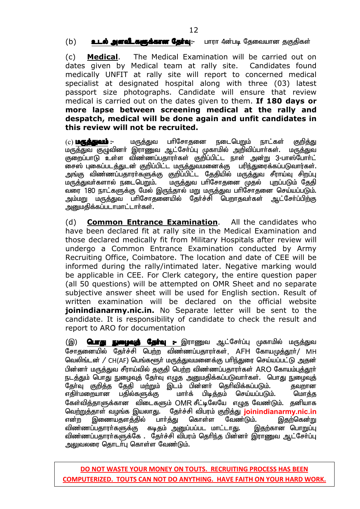(b) **உடல் அளவீடகளுக்கான தேர்வு**:- பாரா 4ன்படி தேவையான தகுதிகள்

(c) **Medical**. The Medical Examination will be carried out on dates given by Medical team at rally site. Candidates found medically UNFIT at rally site will report to concerned medical specialist at designated hospital along with three (03) latest passport size photographs. Candidate will ensure that review medical is carried out on the dates given to them. **If 180 days or more lapse between screening medical at the rally and despatch, medical will be done again and unfit candidates in this review will not be recruited.**

(c) **மருத்துவம் :-** மருத்துவ பரிசோதனை நடைபெறும் நாட்கள் குறித்து kuj; <u>Sanda Milis Sanda</u><br>மருத்துவ குழுவினர் இராணுவ ஆட்சேர்ப்பு முகாமில் அறிவிப்பார்கள். மருத்துவ குறைப்பாடு உள்ள விண்ணப்பதாரர்கள் குறிப்பிட்ட நாள் அன்று 3-பாஸ்போர்ட் சைஸ் புகைப்படத்துடன் குறிப்பிட்ட மருத்துவமனைக்கு பரிந்துரைக்கப்படுவார்கள். அங்கு விண்ணப்பதாரா்களுக்கு குறிப்பிட்ட தேதியில் மருத்துவ சீராய்வு சிறப்பு மருத்துவர்களால் நடைபெறும். மருத்துவ பரிசோதனை முதல் புறப்படும் தேதி வரை 180 நாட்களுக்கு மேல் இருந்தால் மறு மருத்துவ பாிசோதனை செய்யப்படும்.<br>அம்மறு மருத்துவ பாிசோதனையில் தோ்ச்சி பெறாதவா்கள் ஆட்சோ்ப்பிற்கு அம்மறு மருத்துவ பரிசோதனையில் தேர்ச்சி பெறாதவர்கள் அறைமதிக்கப்படாமாட்டார்கள்.

(d) **Common Entrance Examination**. All the candidates who have been declared fit at rally site in the Medical Examination and those declared medically fit from Military Hospitals after review will undergo a Common Entrance Examination conducted by Army Recruiting Office, Coimbatore. The location and date of CEE will be informed during the rally/intimated later. Negative marking would be applicable in CEE. For Clerk category, the entire question paper (all 50 questions) will be attempted on OMR Sheet and no separate subjective answer sheet will be used for English section. Result of written examination will be declared on the official website **joinindianarmy.nic.in.** No Separate letter will be sent to the candidate. It is responsibility of candidate to check the result and report to ARO for documentation

(இ) **பொது நுழைவுத் தோ்வு --** இராணுவ ஆட்சோ்ப்பு முகாமில் மருத்துவ சோகுனையில் கேர்ச்சி பெற்ற விண்ணப்பதாரர்கள், AFH கோயமுத்தூர்/ MH வெலிங்டன் / CH(AF) பெங்களூர் மருத்துவமனைக்கு பரிந்துரை செய்யப்பட்டு அதன் பின்னர் மருத்துவ சீராய்வில் தகுதி பெற்ற விண்ணப்பதாரர்கள் ARO கோயம்பத்தூர் நடத்தும் பொது நுழைவுத் தேர்வு எழுத அனுமதிக்கப்படுவார்கள். பொது நுழைவுத் தோ்வு குறித்த தேதி மற்றும் இடம் பின்னா் தொிவிக்கப்படும். தவறான<br>எகிா்மறையான பகில்களுக்கு மாா்க் பிடிக்கும் செய்யப்படும். மொக்கு எதிா்மறையான பதில்களுக்கு மாா்க் பிடித்தம் செய்யப்படும். மொத்த கேள்வித்தாளுக்கான விடைகளும் OMR சீட்டிலேயே எழுத வேண்டும். தனியாக வெ<u>ற்றுத்</u>தாள் வழங்க இயலாது. தேர்ச்சி விபரம் குறித்து <mark>joinindianarmy.nic.in</mark><br>என்ற இணையதளத்தில் பார்த்து கொள்ள வேண்டும். இதற்கென்று என்ற இணையதளத்தில் பாா்த்து கொள்ள வேண்டும். இதற்கென்று<br>விண்ணப்பதாரா்களுக்கு கடிதம் அனுப்பப்பட மாட்டாது. இதற்கான பொறுப்பு விண்ணப்பதாரா்களுக்கு கடிதம் அனுப்பப்பட மாட்டாது. விண்ணப்பதாரா்களுக்கே . தோ்ச்சி விபரம் தெரிந்த பின்னா் இராணுவ ஆட்சோ்ப்பு அலுவலரை தொடா்பு கொள்ள வேண்டும்.

**COMPUTERIZED. TOUTS CAN NOT DO ANYTHING. HAVE FAITH ON YOUR HARD WORK. DO NOT WASTE YOUR MONEY ON TOUTS. RECRUITING PROCESS HAS BEEN**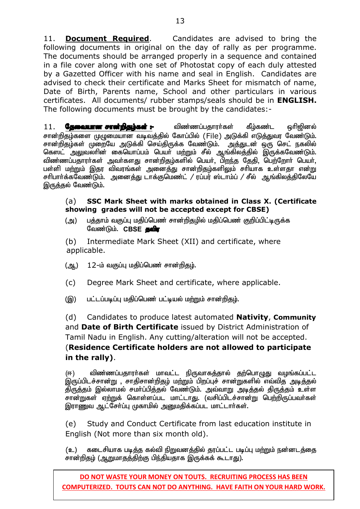11. **Document Required**. Candidates are advised to bring the following documents in original on the day of rally as per programme. The documents should be arranged properly in a sequence and contained in a file cover along with one set of Photostat copy of each duly attested by a Gazetted Officer with his name and seal in English. Candidates are advised to check their certificate and Marks Sheet for mismatch of name, Date of Birth, Parents name, School and other particulars in various certificates. All documents/ rubber stamps/seals should be in **ENGLISH.**  The following documents must be brought by the candidates:-

11. **தேவையான சான்றிதழ்கள் :-** மிண்ணப்பதாரா்கள் கீழ்கண்ட ஒரிஜினல் சான்றிதழ்களை முழுமையான வடிவத்தில் கோப்பில் (File) அடுக்கி எடுத்துவர வேண்டும். சான்றிதழ்கள் முறையே அடுக்கி செய்திருக்க வேண்டும். அத்துடன் ஒரு செட் நகலில் கெஸட் அலுவலாின் கையொப்பம் பெயா் மற்றும் சீல் ஆங்கிலத்தில் இருக்கவேண்டும். விண்ணப்பதாரா்கள் அவா்களது சான்றிதம்களில் பெயா். பிறந்த தேதி, பெற்றோா் பெயா். பள்ளி ம<u>ற்ற</u>ும் இதர விவரங்கள் அனைத்து சான்றிதழ்களிலும் சரியாக உள்ளதா என்<u>று</u> சரிபார்க்கவேண்டும். அனைத்து டாக்குமெண்ட் / ரப்பர் ஸ்டாம்ப் / சீல் ஆங்கிலத்திலேயே இருத்தல் வேண்டும்.

#### (a) **SSC Mark Sheet with marks obtained in Class X. (Certificate showing grades will not be accepted except for CBSE)**

(அ) பத்தாம் வகுப்பு மதிப்பெண் சான்றிதழில் மதிப்பெண் குறிப்பிட்டிருக்க வேண்டும். CBSE **தவிர** 

 (b) Intermediate Mark Sheet (XII) and certificate, where applicable.

- (ஆ.) 12-ம் வகுப்பு மதிப்பெண் சான்றிதழ்.
- (c) Degree Mark Sheet and certificate, where applicable.

(இ) பட்டப்படிப்பு மதிப்பெண் பட்டியல் மற்றும் சான்றிதழ்.

(d) Candidates to produce latest automated **Nativity**, **Community** and **Date of Birth Certificate** issued by District Administration of Tamil Nadu in English. Any cutting/alteration will not be accepted. (**Residence Certificate holders are not allowed to participate in the rally)**.

(ஈ) விண்ணப்பதாரா்கள் மாவட்ட நிருவாகத்தால் தற்பொழுது வழங்கப்பட்ட இருப்பிடச்சான்று , சாதிசான்றிதழ் மற்றும் பிறப்புச் சான்றுகளில் எவ்வித அடித்தல் .<br>திருத்தம் இல்லாமல் சமா்ப்பித்தல் வேண்டும். அவ்வாறு அடித்தல் திருத்தம் உள்ள சான்றுகள் ஏற்றுக் கொள்ளப்பட மாட்டாது. (வசிப்பிடச்சான்று பெற்றிருப்பவர்கள் இராணுவ ஆட்சோ்ப்பு முகாமில் அனுமதிக்கப்பட மாட்டாா்கள்.

(e) Study and Conduct Certificate from last education institute in English (Not more than six month old).

(உ) கடைசியாக படித்த கல்வி நிறுவனத்தில் தரப்பட்ட படிப்பு மற்றும் நன்னடத்தை சான்றிதழ் (ஆறுமாதத்திற்கு பிந்தியதாக இருக்கக் கூடாது).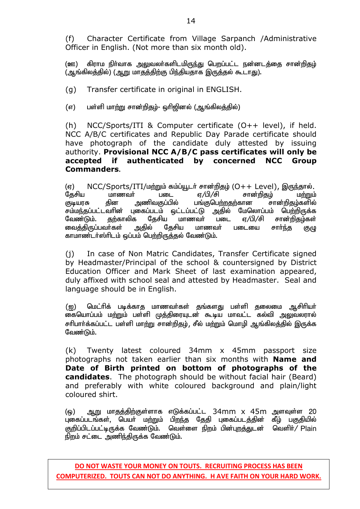(f) Character Certificate from Village Sarpanch /Administrative Officer in English. (Not more than six month old).

(ஊ) கிராம நிர்வாக அலுவலர்களிடமிருந்து பெறப்பட்ட நன்னடத்தை சான்றிதழ் (ஆங்கிலத்தில்) (ஆறு மாதத்திற்கு பிந்தியதாக இருத்தல் கூடாது).

(g) Transfer certificate in original in ENGLISH.

(எ) பள்ளி மாற்று சான்றிதழ்- ஒரிஜினல் (ஆங்கிலத்தில்)

(h) NCC/Sports/ITI & Computer certificate (O++ level), if held. NCC A/B/C certificates and Republic Day Parade certificate should have photograph of the candidate duly attested by issuing authority. **Provisional NCC A/B/C pass certificates will only be accepted if authenticated by concerned NCC Group Commanders.** 

(V) NCC/Sports/ITI/kw;Wk; fk;g;A+lh; rhd;wpjo; (O++ Level), ,Ue;jhy;. தேசிய மாணவர் படை ஏ/பி/சி சான்றிதழ் மற்றும் குடியரசு தின அணிவகுப்பில் பங்குபெற்றதற்கான சான்றிதழ்களில் சம்மந்தப்பட்டவாின் புகைப்படம் ஒட்டப்பட்டு அதில் மேலொப்பம் பெற்றிருக்க<br>வேண்டும். தற்காலிக தேசிய மாணவா் படை ஏ/பி/சி சான்றிதம்கள் க தேசிய மாணவா் படை ஏ/பி/சி சான்றிதழ்கள்<br>அதில் தேசிய மாணவா் படையை சாா்ந்த குழு வைத்திருப்பவா்கள் அதில் தேசிய மாணவா் படையை சாா்ந்த குழு காமாண்டர்ஸ்ரிடம் ஒப்பம் பெற்றிருத்தல் வேண்டும்.

(j) In case of Non Matric Candidates, Transfer Certificate signed by Headmaster/Principal of the school & countersigned by District Education Officer and Mark Sheet of last examination appeared, duly affixed with school seal and attested by Headmaster. Seal and language should be in English.

(ഇ) மெட்ரிக் படிக்காக மாணவர்கள் குங்களது பள்ளி கலைமை ஆசிரியர் கையொப்பம் ம<u>ற்று</u>ம் பள்ளி முத்திரையுடன் கூடிய மாவட்ட கல்வி <u>அலு</u>வலரால் சரிபார்க்கப்பட்ட பள்ளி மாற்று சான்றிகும், சீல் மற்றும் மொழி ஆங்கிலக்கில் இருக்க வேண்டும்.

(k) Twenty latest coloured 34mm x 45mm passport size photographs not taken earlier than six months with **Name and Date of Birth printed on bottom of photographs of the candidates**. The photograph should be without facial hair (Beard) and preferably with white coloured background and plain/light coloured shirt.

(ஒ) ஆறு மாதத்திற்குள்ளாக எடுக்கப்பட்ட 34mm x 45m அளவுள்ள 20 புகைப்படங்கள், பெயர் மற்றும் பிறந்த தேதி புகைப்படத்தின் கீழ் பகுதியில் குறிப்பிடப்பட்டிருக்க வேண்டும். வெள்ளை நிறம் பின்புறத்துடன் வெளிர்/ Plain நிறம் சட்டை அணிந்திருக்க வேண்டும்.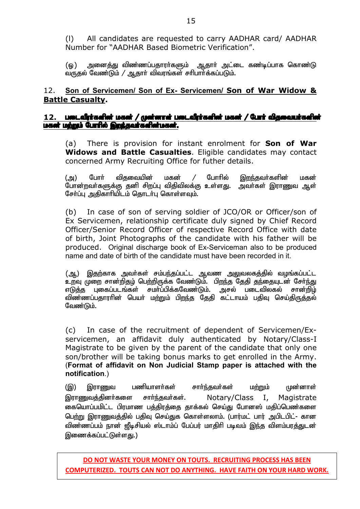(l) All candidates are requested to carry AADHAR card/ AADHAR Number for "AADHAR Based Biometric Verification".

(ஓ) அனைத்து விண்ணப்பதாரா்களும் ஆதாா் அட்டை கண்டிப்பாக கொண்டு  $\alpha$ ருதல் வேண்டும் / ஆதாா் விவரங்கள் சாிபாா்க்கப்படும்.

#### 12. **Son of Servicemen/ Son of Ex- Servicemen/ Son of War Widow & Battle Casualty.**

#### 12. **Lun Laîni serieri** *lasei / (yei***ren rei Lun Laîni serieri** *dis* **de la digene au literatieri** மகன் மற்றும் போரில் இறந்தவர்களின்மகன்.

(a) There is provision for instant enrolment for **Son of War Widows and Battle Casualties**. Eligible candidates may contact concerned Army Recruiting Office for futher details.

(அ) போர் விதவையின் மகன் / போரில் <u>இறந்</u>தவர்களின் மகன் போன்றவர்களுக்கு தனி சிறப்பு விதிவிலக்கு உள்ளது. அவர்கள் இராணுவ ஆள் சேர்ப்பு அகிகாரியிடம் கொடர்பு கொள்ளவும்.

(b) In case of son of serving soldier of JCO/OR or Officer/son of Ex Servicemen, relationship certificate duly signed by Chief Record Officer/Senior Record Officer of respective Record Office with date of birth, Joint Photographs of the candidate with his father will be produced. Original discharge book of Ex-Serviceman also to be produced name and date of birth of the candidate must have been recorded in it.

(ஆ) இதற்காக அவா்கள் சம்பந்தப்பட்ட ஆவண அலுவலகத்தில் வழங்கப்பட்ட ுமை முறை சான்றிதம் பெற்றிருக்க வேண்டும். பிறந்த தேதி தந்தையுடன் சேர்ந்து <u>எடுத்த</u> புகைப்படங்கள் சமா்ப்பிக்கவேண்டும். அசல் படைவிலகல் சான்றிழ் விண்ணப்பதாரரின் பெயா் மற்றும் பிறந்த தேதி கட்டாயம் பதிவ செய்திருக்கல் வேண்டும்.

(c) In case of the recruitment of dependent of Servicemen/Exservicemen, an affidavit duly authenticated by Notary/Class-I Magistrate to be given by the parent of the candidate that only one son/brother will be taking bonus marks to get enrolled in the Army. (**Format of affidavit on Non Judicial Stamp paper is attached with the notification**.)

(இ) இராணுவ பணியாளர்கள் சார்ந்தவர்கள் மற்றும் முன்னாள் இராணுவத்தினர்களை சார்ந்தவர்கள். Notary/Class I, Magistrate கையொப்பமிட்ட பிரமாண பத்திரத்தை தாக்கல் செய்து போனஸ் மதிப்பெண்களை பெற்று இராணுவத்தில் பதிவு செய்துக கொள்ளலாம். (பார்மட் பார் அபிடபிட்- கான விண்ணப்பம் நான் ஜீடிசியல் ஸ்டாம்ப் பேப்பர் மாதிரி படிவம் இந்த விளம்பர<u>த்து</u>டன் இணைக்கப்பட்டுள்ளது.)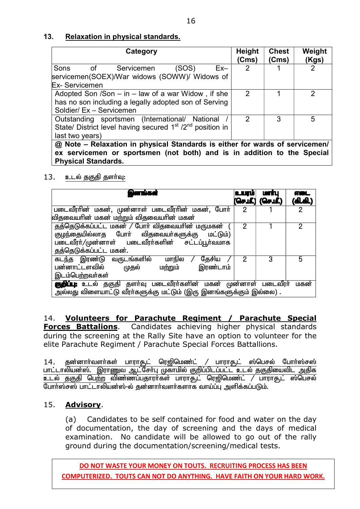#### **13. Relaxation in physical standards.**

| Category                                                                          | <b>Height</b><br>(Cms) | <b>Chest</b><br>(Cms) | Weight<br>(Kgs) |  |
|-----------------------------------------------------------------------------------|------------------------|-----------------------|-----------------|--|
| Sons<br>(SOS)<br>$\circ$ f<br>$Ex-$<br>Servicemen                                 | $\overline{2}$         |                       |                 |  |
| servicemen(SOEX)/War widows (SOWW)/ Widows of                                     |                        |                       |                 |  |
| <b>Ex-Servicemen</b>                                                              |                        |                       |                 |  |
| Adopted Son /Son $-$ in $-$ law of a war Widow, if she                            | 2                      |                       | 2               |  |
| has no son including a legally adopted son of Serving                             |                        |                       |                 |  |
| Soldier/ Ex - Servicemen                                                          |                        |                       |                 |  |
| Outstanding sportsmen (International/ National                                    | 2                      | 3                     | 5               |  |
| State/ District level having secured 1 <sup>st</sup> /2 <sup>nd</sup> position in |                        |                       |                 |  |
| last two years)                                                                   |                        |                       |                 |  |
| @ Note - Relaxation in physical Standards is either for wards of servicemen/      |                        |                       |                 |  |
| ex servicemen or sportsmen (not both) and is in addition to the Special           |                        |                       |                 |  |
| <b>Physical Standards.</b>                                                        |                        |                       |                 |  |

#### 13. உடல் தகுதி தளர்வு:

| இனங்கள்                                                                                                                                                                        | ن سه | <b>Lorming</b><br>(செமீ.) (செமீ.) | <u>aor</u><br>(കി.കി.) |
|--------------------------------------------------------------------------------------------------------------------------------------------------------------------------------|------|-----------------------------------|------------------------|
| படைவீரரின் மகன், முன்னாள் படைவீரரின் மகன், போர்<br>விதவையாின் மகன் மற்றும் விதவையாின் மகன்                                                                                     | 2    |                                   | 2                      |
| தத்தெடுக்கப்பட்ட மகன் / போர் விதவையரின் மருமகன்<br>குழந்தையில்லாத போா் விதவையா்களுக்கு<br>மட்டும்)<br>படைவீரர்/முன்னாள் படைவீரர்களின் சட்டப்பூர்வமாக<br>தத்தெடுக்கப்பட்ட மகன். | 2    |                                   | 2                      |
| கடந்த இரண்டு வருடங்களில்<br>தேசிய<br>மாநில<br>பன்னாட்டளவில்<br>இரண்டாம்<br><u>மற்றும்</u><br>முதல்<br>இடம்பெற்றவர்கள்                                                          | 2    | 3                                 | 5                      |
| <b>குறிப்பு:</b> உடல் தகுதி தளா்வு படைவீரா்களின் மகன் முன்னாள் படைவீரா்<br>அல்லது விளையாட்டு வீரர்களுக்கு மட்டும் (இரு இனங்களுக்கும் இல்லை) .                                  |      |                                   | மகன்                   |

14. **Volunteers for Parachute Regiment / Parachute Special Forces Battalions**. Candidates achieving higher physical standards during the screening at the Rally Site have an option to volunteer for the elite Parachute Regiment / Parachute Special Forces Battallions.

<u>14. தன்னாா்வளா்கள் பாராசூட் ரெஜிமெண்ட் / பாராசூட் ஸ்பெசல் போா்ஸ்சஸ்</u> <u>பாட்டாலியன்ஸ். இராணுவ ஆட்சோ்பு முகாமில் குறிப்பிடப்பட்ட உடல் தகுதியைவிட அதிக</u> <u>உடல் தகுதி பெற்ற</u> விண்ணப்பதாரா்கள் பாராசூட் ரெஜிமெண்ட் / பாராசூட் ஸ்பெசல் போர்ஸ்சஸ் பாட்டாலியன்ஸ்-ல் தன்னார்வளர்களாக வாய்ப்பு அளிக்கப்படும்.

#### 15. **Advisory**.

(a) Candidates to be self contained for food and water on the day of documentation, the day of screening and the days of medical examination. No candidate will be allowed to go out of the rally ground during the documentation/screening/medical tests.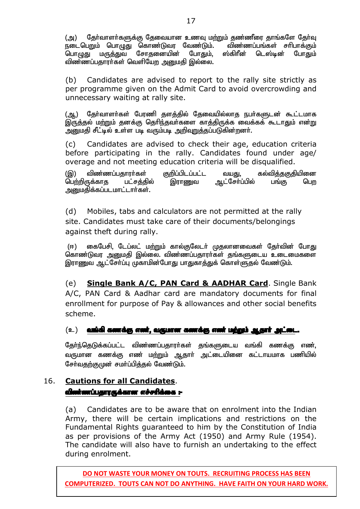(அ) தேர்வாளர்களுக்கு தேவையான உணவு மற்றும் தண்ணீரை தாங்களே தேர்வு<br>நடைபெறும் பொழுது கொண்டுவர வேண்டும். விண்ணப்பங்கள் சரிபாக்கும் நடைபெறும் பொழுது கொண்டுவர வேண்டும். ` விண்ணப்பங்கள் சரிபாக்கும்<br>பொமுது மருத்துவ சோதனையின் போதும். ஸ்கிரீன் டெஸ்டின் போதும் பொழுது மருத்துவ சோதனையின் விண்ணப்பதாரா்கள் வெளியேற அனுமதி இல்லை.

(b) Candidates are advised to report to the rally site strictly as per programme given on the Admit Card to avoid overcrowding and unnecessary waiting at rally site.

(ஆ) தேர்வாளர்கள் பேரணி தளத்தில் தேவையில்லாத நபர்களுடன் கூட்டமாக இருத்தல் மற்றும் தனக்கு தெரிந்தவா்களை காத்திருக்க வைக்கக் கூடாதும் என்று அனுமதி சீட்டில் உள்ள படி வரும்படி அறிவுறுத்தப்படுகின்றனர்.

(c) Candidates are advised to check their age, education criteria before participating in the rally. Candidates found under age/ overage and not meeting education criteria will be disqualified.

(இ) விண்ணப்பதாரா்கள் குறிப்பிடப்பட்ட வயது, கல்வித்தகுதியினை<br>பெற்றிருக்காத பட்சத்தில் இராணுவ ஆட்சோ்ப்பில் பங்கு பெற ஆட்சோ்ப்பில் பங்கு அறுமதிக்கப்படமாட்டார்கள்.

(d) Mobiles, tabs and calculators are not permitted at the rally site. Candidates must take care of their documents/belongings against theft during rally.

(ஈ) கைபேசி, டேப்லட் மற்றும் கால்குலேடர் முதலானவைகள் தேர்வின் போது கொண்டுவர அனுமதி இல்லை. விண்ணப்பதாரா்கள் தங்களுடைய உடைமைகளை இராணுவ ஆட்சேர்ப்பு முகாமின்போது பாதுகாத்துக் கொள்ளுதல் வேண்டும்.

(e) **Single Bank A/C, PAN Card & AADHAR Card**. Single Bank A/C, PAN Card & Aadhar card are mandatory documents for final enrollment for purpose of Pay & allowances and other social benefits scheme.

#### $\mathbf{r}(\mathbf{z}_1)$  and all a set algorithment control for the fact  $\mathbf{z}_i$  and  $\mathbf{z}_i$  and  $\mathbf{z}_i$  and  $\mathbf{z}_i$

தேர்ந்தெடுக்கப்பட்ட விண்ணப்பதாரர்கள் தங்களுடைய வங்கி கணக்கு எண். வருமான கணக்கு எண் மற்றும் ஆதாா் அட்டையினை கட்டாயமாக பணியில் சேர்வதற்குமுன் சமர்ப்பித்தல் வேண்டும்.

### 16. **Cautions for all Candidates**. விண்ணப்பதாரருக்கான எச்சரிக்கை :-

(a) Candidates are to be aware that on enrolment into the Indian Army, there will be certain implications and restrictions on the Fundamental Rights guaranteed to him by the Constitution of India as per provisions of the Army Act (1950) and Army Rule (1954). The candidate will also have to furnish an undertaking to the effect during enrolment.

**DO NOT WASTE YOUR MONEY ON TOUTS. RECRUITING PROCESS HAS BEEN COMPUTERIZED. TOUTS CAN NOT DO ANYTHING. HAVE FAITH ON YOUR HARD WORK.**

18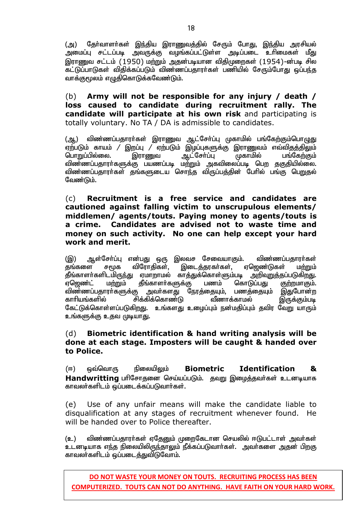(அ) தோ்வாளா்கள் இந்திய இராணுவத்தில் சேரும் போது, இந்திய அரசியல்<br>அமைப்பு சட்டப்படி அவருக்கு வழங்கப்பட்டுள்ள அடிப்படை உாிமைகள் மீது அமைப்பு சட்டப்படி அவருக்கு வழங்கப்பட்டுள்ள அடிப்படை உரிமைகள் இராணுவ சட்டம் (1950) மற்றும் அதன்படியான விதிமுறைகள் (1954)-ன்படி சில ்கட்டுப்பாடுகள் விதிக்கப்படும் விண்ணப்பதாரா்கள் பணியில் சேரும்போது ஒப்பந்த வாக்குமூலம் எழுதிகொடுக்கவேண்டும்.

(b) **Army will not be responsible for any injury / death / loss caused to candidate during recruitment rally. The candidate will participate at his own risk** and participating is totally voluntary. No TA / DA is admissible to candidates.

(ஆ,) விண்ணப்பதாரா்கள் இராணுவ ஆட்சோ்ப்பு முகாமில் பங்கேற்கும்பொழுது ஏற்படும் காயம் / இறப்பு / ஏற்படும் இழப்புகளுக்கு இராணுவம் எவ்விதத்திலும்<br>பொறுப்பில்லை. இராணுவ ஆட்சேர்ப்பு முகாமில் பங்கேற்கும் பொறுப்பில்லை. விண்ணப்பதாரா்களுக்கு பயணப்படி மற்றும் அகவிலைப்படி பெற தகுதியில்லை. விண்ணப்பதாரா்கள் தங்களுடைய சொந்த விருப்பத்தின் போில் பங்கு பெறுதல் வேண்டும்.

#### (c) **Recruitment is a free service and candidates are cautioned against falling victim to unscrupulous elements/ middlemen/ agents/touts. Paying money to agents/touts is a crime. Candidates are advised not to waste time and money on such activity. No one can help except your hard work and merit.**

(இ) ஆள்சோ்ப்பு என்பது ஒரு இலவச சேவையாகும். விண்ணப்பதாரா்கள்<br>தங்களை சமூக விரோதிகள், இடைத்தரகா்கள், ஏஜெண்டுகள் ம<u>ா்று</u>ம் தங்களை சமூக விரோதிகள், இடைத்தரகா்கள், ஏஜெண்டுகள் மற்றும் தீங்காளா்களிடமிருந்து ஏமாறாமல் காத்துக்கொள்ளும்படி அறிவுறுத்தப்படுகிறது. ஏஜெண்ட் மற்றும் தீங்காளா்களுக்கு பணம் கொடுப்பது குற்றமாகும். விண்ணப்பதாரா்களுக்கு அவா்களது நேரத்தையும், பணத்தையும் இதுபோன்ற காரியங்களில் சிக்கிக்கொண்டு வீணாக்காமல் இருக்கும்படி கேட்டுக்கொள்ளப்படுகிறது. உங்களது உழைப்பும் நன்மதிப்பும் தவிர வேறு யாரும் உங்களுக்கு உதவ முடியாது.

#### (d) **Biometric identification & hand writing analysis will be done at each stage. Imposters will be caught & handed over to Police.**

(ஈ) ஒவ்வொரு நிலையிலும் Biometric Identification & Handwritting பரிசோதனை செய்யப்படும். தவறு இழைத்தவர்கள் உடனடியாக காவலர்களிடம் ஒப்படைக்கப்படுவார்கள்.

(e) Use of any unfair means will make the candidate liable to disqualification at any stages of recruitment whenever found. He will be handed over to Police thereafter.

(உ) விண்ணப்பதாரா்கள் ஏதேனும் முறைகேடான செயலில் ஈடுபட்டாள் அவா்கள் உடனடியாக எந்த நிலையிலிருந்தாலும் நீக்கப்படுவார்கள். அவர்களை அதன் பிறகு காவலர்களிடம் ஒப்படைத்துவிடுவோம்.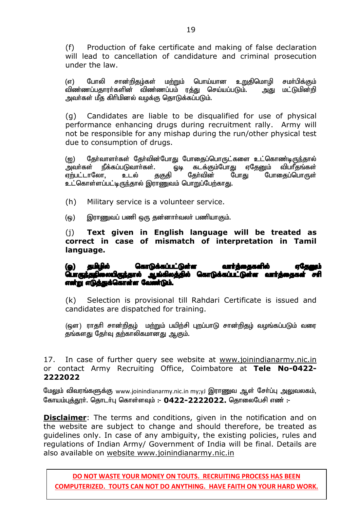(f) Production of fake certificate and making of false declaration will lead to cancellation of candidature and criminal prosecution under the law.

(எ) போலி சான்றிதழ்கள் மற்றும் பொய்யான உறுதிமொழி சமா்பிக்கும்<br>விண்ணப்பதாரா்களின் விண்ணப்பம் ரத்து செய்யப்படும். அது மட்டுமின்றி <u>விண்ணப்ப</u>தாரர்களின் விண்ணப்பம் ர<u>த்து</u> செய்யப்படும். அவர்கள் மீத கிரிமினல் வழக்கு தொடுக்கப்படும்.

(g) Candidates are liable to be disqualified for use of physical performance enhancing drugs during recruitment rally. Army will not be responsible for any mishap during the run/other physical test due to consumption of drugs.

(ஐ) நேர்வாளர்கள் தேர்வின்போது போதைப்பொருட்களை உட்கொண்டிருந்தால்<br>அவர்கள் நீக்கப்படுவார்கள். ஒடி கடக்கும்போது ஏகேனும் விபரீதங்கள் அவர்கள் நீக்கப்படுவார்கள். ஓடி கடக்கும்போது ஏதேனும் விப்ரீதங்கள்<br>ஏற்பட்டாலோ, உடல் தகுதி தேர்வின் போது போதைப்பொருள் போகைப்பொருள் <u>உட்கொள்ளப்பட்டிருந்</u>தால் இராணுவம் பொறுப்பேற்காது.

(h) Military service is a volunteer service.

(ஒ) இராணுவப் பணி ஒரு தன்னார்வலர் பணியாகும்.

(j) **Text given in English language will be treated as correct in case of mismatch of interpretation in Tamil language.** 

#### (ஓ) தமிழில் கொடுக்கப்பட்டுள்ள வார்த்தைகளில் ஏதே**லு**ம் **பொருந்தநிலையிருந்தால் ஆங்கிலத்தில் கொடுக்கப்பட்டுள்ள வார்த்தைகள் சரி** என்று எடுத்துக்கொள்ள வேண்டும்.

(k) Selection is provisional till Rahdari Certificate is issued and candidates are dispatched for training.

(ஔ) ராதரி சான்றிதழ் மற்றும் பயிற்சி புறப்பாடு சான்றிதழ் வழங்கப்படும் வரை தங்களது தேர்வு தற்காலிகமானது ஆகும்.

17. In case of further query see website at www.joinindianarmy.nic.in or contact Army Recruiting Office, Coimbatore at **Tele No-0422- 2222022**

மேலும் விவரங்களுக்கு www.joinindianarmy.nic.in my;yJ இராணுவ ஆள் சோ்ப்பு அலுவலகம், கோயம்புத்தூர். தொடர்பு கொள்ளவும் :- 0422-2222022. தொலைபேசி எண் :-

**Disclaimer**: The terms and conditions, given in the notification and on the website are subject to change and should therefore, be treated as guidelines only. In case of any ambiguity, the existing policies, rules and regulations of Indian Army/ Government of India will be final. Details are also available on website www.joinindianarmy.nic.in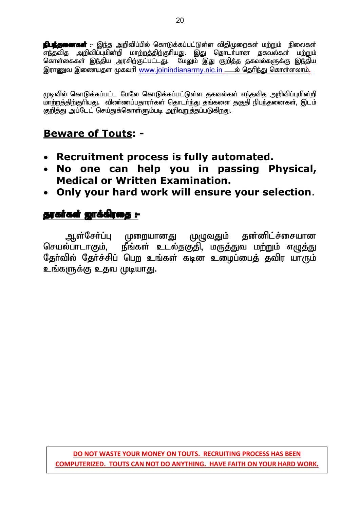**ந்பந்தனைகள்** :- இந்த அறிவிப்பில் கொடுக்கப்பட்டுள்ள விதிமுறைகள் மற்றும் நிலைகள் <u>சாதி மாணமான முதித்தும் நடத்தும் குடியது. இது தொடர்பான தகவல்கள் மற்றும் </u> கொள்கைகள் இந்திய அரசிற்குட்பட்டது. மேலும் இது குறித்த தகவல்களுக்கு இந்திய இராணுவ இணையதள முகவரி www.joinindianarmy.nic.in — ல் தெரிந்து கொள்ளலாம்.

முடிவில் கொடுக்கப்பட்ட மேலே கொடுக்கப்பட்டுள்ள தகவல்கள் எந்தவித அறிவிப்புமின்றி மாற்றத்திற்குரியது. விண்ணப்பதாரா்கள் தொடா்ந்து தங்களை தகுதி நிபந்தனைகள், இடம் குறித்து அப்டேட் செய்துக்கொள்ளும்படி அறிவறுத்தப்படுகிறது.

# **Beware of Touts: -**

- **Recruitment process is fully automated.**
- **No one can help you in passing Physical, Medical or Written Examination.**
- **Only your hard work will ensure your selection**.

## தரகர்கள் ஜாக்கிரதை :-

ஆள்சோ்ப்பு முறையானது முழுவதும் தன்னிட்ச்சையான செயல்பாடாகும், நீங்கள் உடல்தகுதி, மருத்துவ மற்றும் எழுத்து தோ்வில் தோ்ச்சிப் பெற உங்கள் கடின உழைப்பைத் தவிர யாரும் உங்களுக்கு உதவ முடியாது.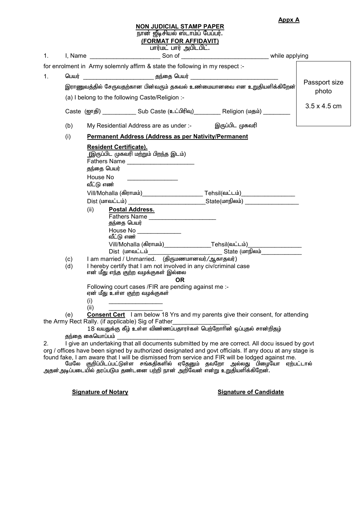|  | <b>Appx A</b> |
|--|---------------|
|--|---------------|

#### **NON JUDICIAL STAMP PAPER**

நான் ஜீடிசியல் ஸ்டாம்ப் பேப்பர்.

**(FORMAT FOR AFFIDAVIT)**

rumர்மட் பார் அபிடபிட்.<br>Son of

| 1. | I, Name                                                                 |                                                                                                                                                                                                                                    |                     |
|----|-------------------------------------------------------------------------|------------------------------------------------------------------------------------------------------------------------------------------------------------------------------------------------------------------------------------|---------------------|
|    |                                                                         | for enrolment in Army solemnly affirm & state the following in my respect :-                                                                                                                                                       |                     |
| 1. |                                                                         |                                                                                                                                                                                                                                    |                     |
|    | இராணுவத்தில் சேருவதற்கான பின்வரும் தகவல் உண்மையானவை என உறுதியளிக்கிறேன் | Passport size<br>photo                                                                                                                                                                                                             |                     |
|    | (a) I belong to the following Caste/Religion :-                         |                                                                                                                                                                                                                                    |                     |
|    |                                                                         | Caste (ஐாதி) ______________ Sub Caste (உட்பிரிவு) __________ Religion (மதம்) _________                                                                                                                                             | $3.5 \times 4.5$ cm |
|    | (b)                                                                     | My Residential Address are as under :- இருப்பிட முகவரி                                                                                                                                                                             |                     |
|    | (i)                                                                     |                                                                                                                                                                                                                                    |                     |
|    |                                                                         | <b>Resident Certificate).</b><br>(இருப்பிட முகவரி மற்றும் பிறந்த இடம்)<br>தந்தை பெயர்<br>House No<br>வீட்டு எண்<br>(ii)<br>Postal Address.<br>தந்தை பெயர்<br>House No<br><u>______________________</u><br>வீட்டு எண் <sup>——</sup> |                     |
|    | (c)                                                                     |                                                                                                                                                                                                                                    |                     |
|    | (d)                                                                     | I hereby certify that I am not involved in any civ/criminal case<br>என் மீது எந்த குற்ற வழக்குகள் இல்லை<br>OR.                                                                                                                     |                     |
|    |                                                                         | Following court cases /FIR are pending against me :-<br>ஏன் மீது உள்ள குற்ற வழக்குகள்<br>(i)                                                                                                                                       |                     |
|    | (e)                                                                     | (ii)<br><b>Consent Cert</b> 1 am below 18 Yrs and my parents give their consent, for attending                                                                                                                                     |                     |
|    |                                                                         | the Army Rect Rally. (if applicable) Sig of Father_<br><u> 1980 - Johann Barbara, martxa a</u>                                                                                                                                     |                     |
|    |                                                                         | 18 வயதுக்கு கீழ் உள்ள விண்ணப்பதாரர்கள் பெற்றோரின் ஒப்புதல் சான்றிதழ்<br>தந்தை கையொப்பம்                                                                                                                                            |                     |
| 2. |                                                                         | I give an undertaking that all documents submitted by me are correct. All docu issued by govt                                                                                                                                      |                     |
|    |                                                                         |                                                                                                                                                                                                                                    |                     |

org / offices have been signed by authorized designated and govt officials. If any docu at any stage is found fake, I am aware that I will be dismissed from service and FIR will be lodged against me.

மேலே குறிப்பிடப்பட்டுள்ள சங்கதிகளில் ஏதேனும் தவறோ அல்லது பிழையோ ஏற்பட்டால் அதன்அடிப்படையில் தரப்படும தண்டனை பற்றி நான் அறிவேன் என்று உறுதியளிக்கிறேன்.

#### **Signature of Notary Signature of Candidate**